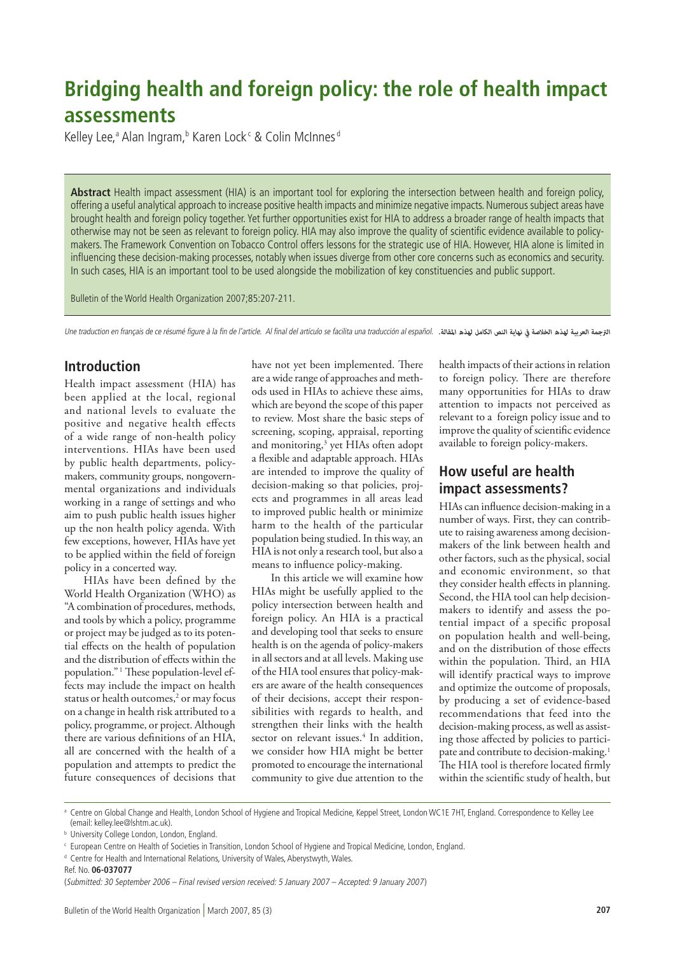# **Bridging health and foreign policy: the role of health impact assessments**

Kelley Lee,ª Alan Ingram,<sup>b</sup> Karen Lock<sup>c</sup> & Colin McInnes<sup>d</sup>

**Abstract** Health impact assessment (HIA) is an important tool for exploring the intersection between health and foreign policy, offering a useful analytical approach to increase positive health impacts and minimize negative impacts. Numerous subject areas have brought health and foreign policy together. Yet further opportunities exist for HIA to address a broader range of health impacts that otherwise may not be seen as relevant to foreign policy. HIA may also improve the quality of scientific evidence available to policymakers. The Framework Convention on Tobacco Control offers lessons for the strategic use of HIA. However, HIA alone is limited in influencing these decision-making processes, notably when issues diverge from other core concerns such as economics and security. In such cases, HIA is an important tool to be used alongside the mobilization of key constituencies and public support.

Bulletin of the World Health Organization 2007;85:207-211.

Une traduction en français de ce résumé figure à la fin de l'article. Al final del artículo se facilita una traducción al español. *الرتجمة العربية لهذه الخالصة يف نهاية النص الكامل لهذه املقالة.*

## **Introduction**

Health impact assessment (HIA) has been applied at the local, regional and national levels to evaluate the positive and negative health effects of a wide range of non-health policy interventions. HIAs have been used by public health departments, policymakers, community groups, nongovernmental organizations and individuals working in a range of settings and who aim to push public health issues higher up the non health policy agenda. With few exceptions, however, HIAs have yet to be applied within the field of foreign policy in a concerted way.

HIAs have been defined by the World Health Organization (WHO) as "A combination of procedures, methods, and tools by which a policy, programme or project may be judged as to its potential effects on the health of population and the distribution of effects within the population." <sup>1</sup> These population-level effects may include the impact on health status or health outcomes,<sup>2</sup> or may focus on a change in health risk attributed to a policy, programme, or project. Although there are various definitions of an HIA, all are concerned with the health of a population and attempts to predict the future consequences of decisions that

have not yet been implemented. There are a wide range of approaches and methods used in HIAs to achieve these aims, which are beyond the scope of this paper to review. Most share the basic steps of screening, scoping, appraisal, reporting and monitoring,<sup>3</sup> yet HIAs often adopt a flexible and adaptable approach. HIAs are intended to improve the quality of decision-making so that policies, projects and programmes in all areas lead to improved public health or minimize harm to the health of the particular population being studied. In this way, an HIA is not only a research tool, but also a means to influence policy-making.

In this article we will examine how HIAs might be usefully applied to the policy intersection between health and foreign policy. An HIA is a practical and developing tool that seeks to ensure health is on the agenda of policy-makers in all sectors and at all levels. Making use of the HIA tool ensures that policy-makers are aware of the health consequences of their decisions, accept their responsibilities with regards to health, and strengthen their links with the health sector on relevant issues.<sup>4</sup> In addition, we consider how HIA might be better promoted to encourage the international community to give due attention to the

health impacts of their actions in relation to foreign policy. There are therefore many opportunities for HIAs to draw attention to impacts not perceived as relevant to a foreign policy issue and to improve the quality of scientific evidence available to foreign policy-makers.

# **How useful are health impact assessments?**

HIAs can influence decision-making in a number of ways. First, they can contribute to raising awareness among decisionmakers of the link between health and other factors, such as the physical, social and economic environment, so that they consider health effects in planning. Second, the HIA tool can help decisionmakers to identify and assess the potential impact of a specific proposal on population health and well-being, and on the distribution of those effects within the population. Third, an HIA will identify practical ways to improve and optimize the outcome of proposals, by producing a set of evidence-based recommendations that feed into the decision-making process, as well as assisting those affected by policies to participate and contribute to decision-making.<sup>1</sup> The HIA tool is therefore located firmly within the scientific study of health, but

<sup>&</sup>lt;sup>a</sup> Centre on Global Change and Health, London School of Hygiene and Tropical Medicine, Keppel Street, London WC1E 7HT, England. Correspondence to Kelley Lee (email: kelley.lee@lshtm.ac.uk).

**b** University College London, London, England.

<sup>c</sup> European Centre on Health of Societies in Transition, London School of Hygiene and Tropical Medicine, London, England.

<sup>d</sup> Centre for Health and International Relations, University of Wales, Aberystwyth, Wales.

Ref. No. **06-037077**

<sup>(</sup>Submitted: 30 September 2006 – Final revised version received: 5 January 2007 – Accepted: 9 January 2007)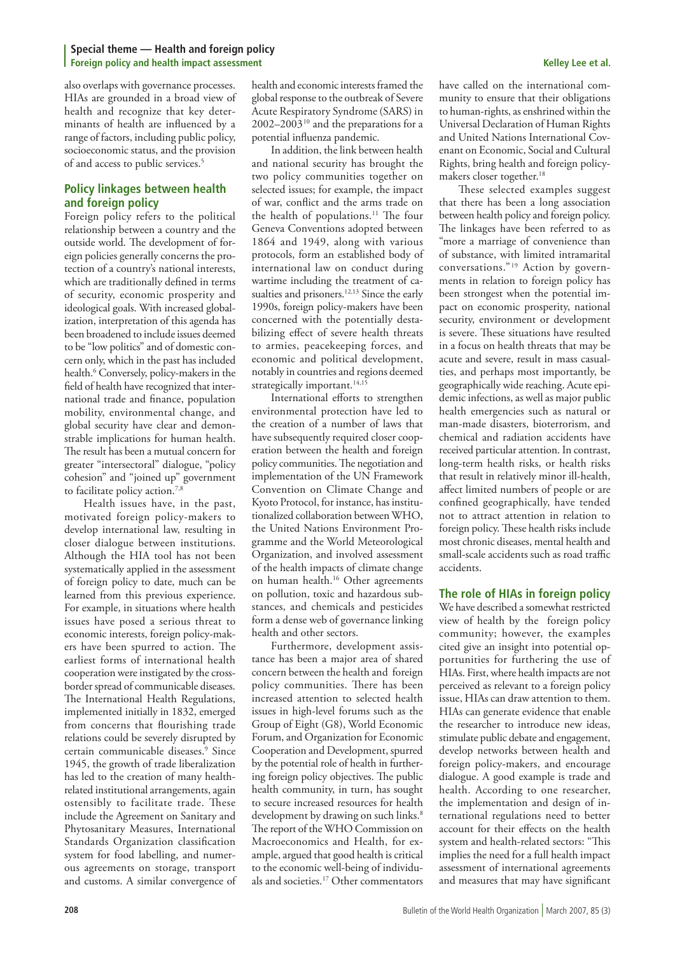also overlaps with governance processes. HIAs are grounded in a broad view of health and recognize that key determinants of health are influenced by a range of factors, including public policy, socioeconomic status, and the provision of and access to public services.<sup>5</sup>

### **Policy linkages between health and foreign policy**

Foreign policy refers to the political relationship between a country and the outside world. The development of foreign policies generally concerns the protection of a country's national interests, which are traditionally defined in terms of security, economic prosperity and ideological goals. With increased globalization, interpretation of this agenda has been broadened to include issues deemed to be "low politics" and of domestic concern only, which in the past has included health.6 Conversely, policy-makers in the field of health have recognized that international trade and finance, population mobility, environmental change, and global security have clear and demonstrable implications for human health. The result has been a mutual concern for greater "intersectoral" dialogue, "policy cohesion" and "joined up" government to facilitate policy action.<sup>7,8</sup>

Health issues have, in the past, motivated foreign policy-makers to develop international law, resulting in closer dialogue between institutions. Although the HIA tool has not been systematically applied in the assessment of foreign policy to date, much can be learned from this previous experience. For example, in situations where health issues have posed a serious threat to economic interests, foreign policy-makers have been spurred to action. The earliest forms of international health cooperation were instigated by the crossborder spread of communicable diseases. The International Health Regulations, implemented initially in 1832, emerged from concerns that flourishing trade relations could be severely disrupted by certain communicable diseases.9 Since 1945, the growth of trade liberalization has led to the creation of many healthrelated institutional arrangements, again ostensibly to facilitate trade. These include the Agreement on Sanitary and Phytosanitary Measures, International Standards Organization classification system for food labelling, and numerous agreements on storage, transport and customs. A similar convergence of

health and economic interests framed the global response to the outbreak of Severe Acute Respiratory Syndrome (SARS) in  $2002-2003^{10}$  and the preparations for a potential influenza pandemic.

In addition, the link between health and national security has brought the two policy communities together on selected issues; for example, the impact of war, conflict and the arms trade on the health of populations.<sup>11</sup> The four Geneva Conventions adopted between 1864 and 1949, along with various protocols, form an established body of international law on conduct during wartime including the treatment of casualties and prisoners.<sup>12,13</sup> Since the early 1990s, foreign policy-makers have been concerned with the potentially destabilizing effect of severe health threats to armies, peacekeeping forces, and economic and political development, notably in countries and regions deemed strategically important.<sup>14,15</sup>

International efforts to strengthen environmental protection have led to the creation of a number of laws that have subsequently required closer cooperation between the health and foreign policy communities. The negotiation and implementation of the UN Framework Convention on Climate Change and Kyoto Protocol, for instance, has institutionalized collaboration between WHO, the United Nations Environment Programme and the World Meteorological Organization, and involved assessment of the health impacts of climate change on human health.16 Other agreements on pollution, toxic and hazardous substances, and chemicals and pesticides form a dense web of governance linking health and other sectors.

Furthermore, development assistance has been a major area of shared concern between the health and foreign policy communities. There has been increased attention to selected health issues in high-level forums such as the Group of Eight (G8), World Economic Forum, and Organization for Economic Cooperation and Development, spurred by the potential role of health in furthering foreign policy objectives. The public health community, in turn, has sought to secure increased resources for health development by drawing on such links.<sup>8</sup> The report of the WHO Commission on Macroeconomics and Health, for example, argued that good health is critical to the economic well-being of individuals and societies.17 Other commentators

have called on the international community to ensure that their obligations to human-rights, as enshrined within the Universal Declaration of Human Rights and United Nations International Covenant on Economic, Social and Cultural Rights, bring health and foreign policymakers closer together.<sup>18</sup>

These selected examples suggest that there has been a long association between health policy and foreign policy. The linkages have been referred to as "more a marriage of convenience than of substance, with limited intramarital conversations."<sup>19</sup> Action by governments in relation to foreign policy has been strongest when the potential impact on economic prosperity, national security, environment or development is severe. These situations have resulted in a focus on health threats that may be acute and severe, result in mass casualties, and perhaps most importantly, be geographically wide reaching. Acute epidemic infections, as well as major public health emergencies such as natural or man-made disasters, bioterrorism, and chemical and radiation accidents have received particular attention. In contrast, long-term health risks, or health risks that result in relatively minor ill-health, affect limited numbers of people or are confined geographically, have tended not to attract attention in relation to foreign policy. These health risks include most chronic diseases, mental health and small-scale accidents such as road traffic accidents.

### **The role of HIAs in foreign policy**

We have described a somewhat restricted view of health by the foreign policy community; however, the examples cited give an insight into potential opportunities for furthering the use of HIAs. First, where health impacts are not perceived as relevant to a foreign policy issue, HIAs can draw attention to them. HIAs can generate evidence that enable the researcher to introduce new ideas, stimulate public debate and engagement, develop networks between health and foreign policy-makers, and encourage dialogue. A good example is trade and health. According to one researcher, the implementation and design of international regulations need to better account for their effects on the health system and health-related sectors: "This implies the need for a full health impact assessment of international agreements and measures that may have significant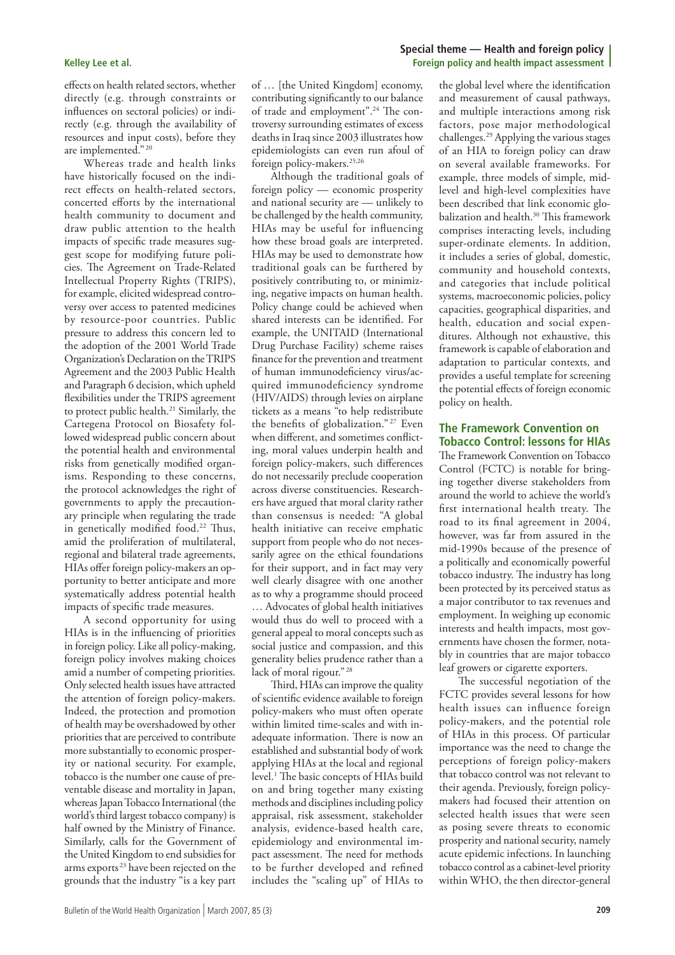effects on health related sectors, whether directly (e.g. through constraints or influences on sectoral policies) or indirectly (e.g. through the availability of resources and input costs), before they are implemented." <sup>20</sup>

Whereas trade and health links have historically focused on the indirect effects on health-related sectors, concerted efforts by the international health community to document and draw public attention to the health impacts of specific trade measures suggest scope for modifying future policies. The Agreement on Trade-Related Intellectual Property Rights (TRIPS), for example, elicited widespread controversy over access to patented medicines by resource-poor countries. Public pressure to address this concern led to the adoption of the 2001 World Trade Organization's Declaration on the TRIPS Agreement and the 2003 Public Health and Paragraph 6 decision, which upheld flexibilities under the TRIPS agreement to protect public health.<sup>21</sup> Similarly, the Cartegena Protocol on Biosafety followed widespread public concern about the potential health and environmental risks from genetically modified organisms. Responding to these concerns, the protocol acknowledges the right of governments to apply the precautionary principle when regulating the trade in genetically modified food.<sup>22</sup> Thus, amid the proliferation of multilateral, regional and bilateral trade agreements, HIAs offer foreign policy-makers an opportunity to better anticipate and more systematically address potential health impacts of specific trade measures.

A second opportunity for using HIAs is in the influencing of priorities in foreign policy. Like all policy-making, foreign policy involves making choices amid a number of competing priorities. Only selected health issues have attracted the attention of foreign policy-makers. Indeed, the protection and promotion of health may be overshadowed by other priorities that are perceived to contribute more substantially to economic prosperity or national security. For example, tobacco is the number one cause of preventable disease and mortality in Japan, whereas Japan Tobacco International (the world's third largest tobacco company) is half owned by the Ministry of Finance. Similarly, calls for the Government of the United Kingdom to end subsidies for arms exports 23 have been rejected on the grounds that the industry "is a key part

of … [the United Kingdom] economy, contributing significantly to our balance of trade and employment".24 The controversy surrounding estimates of excess deaths in Iraq since 2003 illustrates how epidemiologists can even run afoul of foreign policy-makers.<sup>25,26</sup>

Although the traditional goals of foreign policy — economic prosperity and national security are — unlikely to be challenged by the health community, HIAs may be useful for influencing how these broad goals are interpreted. HIAs may be used to demonstrate how traditional goals can be furthered by positively contributing to, or minimizing, negative impacts on human health. Policy change could be achieved when shared interests can be identified. For example, the UNITAID (International Drug Purchase Facility) scheme raises finance for the prevention and treatment of human immunodeficiency virus/acquired immunodeficiency syndrome (HIV/AIDS) through levies on airplane tickets as a means "to help redistribute the benefits of globalization." 27 Even when different, and sometimes conflicting, moral values underpin health and foreign policy-makers, such differences do not necessarily preclude cooperation across diverse constituencies. Researchers have argued that moral clarity rather than consensus is needed: "A global health initiative can receive emphatic support from people who do not necessarily agree on the ethical foundations for their support, and in fact may very well clearly disagree with one another as to why a programme should proceed … Advocates of global health initiatives would thus do well to proceed with a general appeal to moral concepts such as social justice and compassion, and this generality belies prudence rather than a lack of moral rigour." <sup>28</sup>

Third, HIAs can improve the quality of scientific evidence available to foreign policy-makers who must often operate within limited time-scales and with inadequate information. There is now an established and substantial body of work applying HIAs at the local and regional level.1 The basic concepts of HIAs build on and bring together many existing methods and disciplines including policy appraisal, risk assessment, stakeholder analysis, evidence-based health care, epidemiology and environmental impact assessment. The need for methods to be further developed and refined includes the "scaling up" of HIAs to

the global level where the identification and measurement of causal pathways, and multiple interactions among risk factors, pose major methodological challenges.29 Applying the various stages of an HIA to foreign policy can draw on several available frameworks. For example, three models of simple, midlevel and high-level complexities have been described that link economic globalization and health.<sup>30</sup> This framework comprises interacting levels, including super-ordinate elements. In addition, it includes a series of global, domestic, community and household contexts, and categories that include political systems, macroeconomic policies, policy capacities, geographical disparities, and health, education and social expenditures. Although not exhaustive, this framework is capable of elaboration and adaptation to particular contexts, and provides a useful template for screening the potential effects of foreign economic policy on health.

### **The Framework Convention on Tobacco Control: lessons for HIAs**

The Framework Convention on Tobacco Control (FCTC) is notable for bringing together diverse stakeholders from around the world to achieve the world's first international health treaty. The road to its final agreement in 2004, however, was far from assured in the mid-1990s because of the presence of a politically and economically powerful tobacco industry. The industry has long been protected by its perceived status as a major contributor to tax revenues and employment. In weighing up economic interests and health impacts, most governments have chosen the former, notably in countries that are major tobacco leaf growers or cigarette exporters.

The successful negotiation of the FCTC provides several lessons for how health issues can influence foreign policy-makers, and the potential role of HIAs in this process. Of particular importance was the need to change the perceptions of foreign policy-makers that tobacco control was not relevant to their agenda. Previously, foreign policymakers had focused their attention on selected health issues that were seen as posing severe threats to economic prosperity and national security, namely acute epidemic infections. In launching tobacco control as a cabinet-level priority within WHO, the then director-general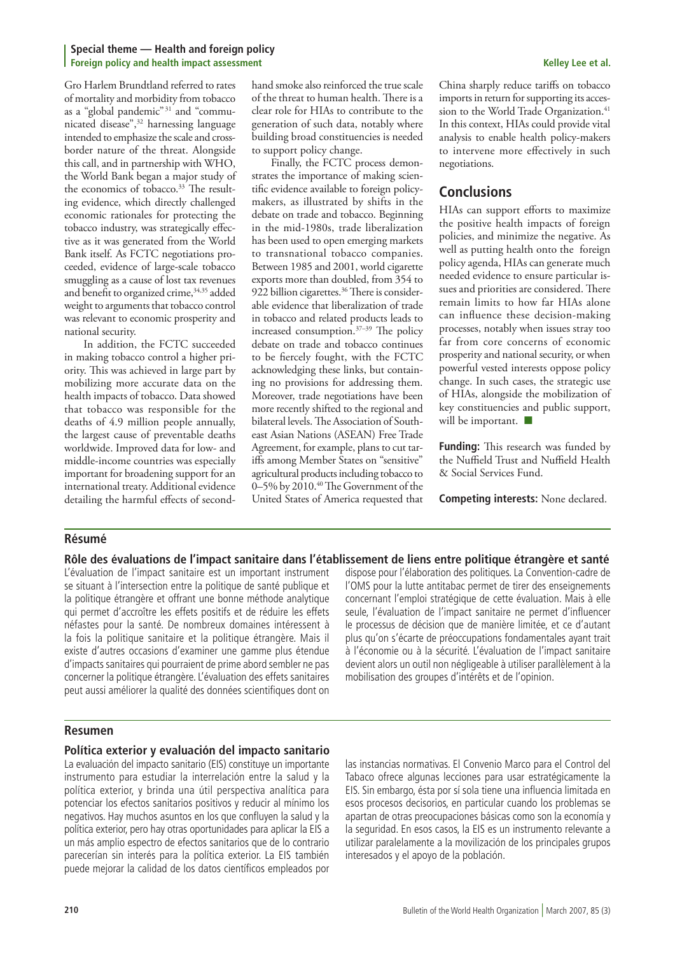Gro Harlem Brundtland referred to rates of mortality and morbidity from tobacco as a "global pandemic" 31 and "communicated disease",32 harnessing language intended to emphasize the scale and crossborder nature of the threat. Alongside this call, and in partnership with WHO, the World Bank began a major study of the economics of tobacco.<sup>33</sup> The resulting evidence, which directly challenged economic rationales for protecting the tobacco industry, was strategically effective as it was generated from the World Bank itself. As FCTC negotiations proceeded, evidence of large-scale tobacco smuggling as a cause of lost tax revenues and benefit to organized crime, 34,35 added weight to arguments that tobacco control was relevant to economic prosperity and national security.

In addition, the FCTC succeeded in making tobacco control a higher priority. This was achieved in large part by mobilizing more accurate data on the health impacts of tobacco. Data showed that tobacco was responsible for the deaths of 4.9 million people annually, the largest cause of preventable deaths worldwide. Improved data for low- and middle-income countries was especially important for broadening support for an international treaty. Additional evidence detailing the harmful effects of secondhand smoke also reinforced the true scale of the threat to human health. There is a clear role for HIAs to contribute to the generation of such data, notably where building broad constituencies is needed to support policy change.

Finally, the FCTC process demonstrates the importance of making scientific evidence available to foreign policymakers, as illustrated by shifts in the debate on trade and tobacco. Beginning in the mid-1980s, trade liberalization has been used to open emerging markets to transnational tobacco companies. Between 1985 and 2001, world cigarette exports more than doubled, from 354 to 922 billion cigarettes.<sup>36</sup> There is considerable evidence that liberalization of trade in tobacco and related products leads to increased consumption.37–39 The policy debate on trade and tobacco continues to be fiercely fought, with the FCTC acknowledging these links, but containing no provisions for addressing them. Moreover, trade negotiations have been more recently shifted to the regional and bilateral levels. The Association of Southeast Asian Nations (ASEAN) Free Trade Agreement, for example, plans to cut tariffs among Member States on "sensitive" agricultural products including tobacco to 0–5% by 2010.<sup>40</sup> The Government of the United States of America requested that China sharply reduce tariffs on tobacco imports in return for supporting its accession to the World Trade Organization.<sup>41</sup> In this context, HIAs could provide vital analysis to enable health policy-makers to intervene more effectively in such negotiations.

# **Conclusions**

HIAs can support efforts to maximize the positive health impacts of foreign policies, and minimize the negative. As well as putting health onto the foreign policy agenda, HIAs can generate much needed evidence to ensure particular issues and priorities are considered. There remain limits to how far HIAs alone can influence these decision-making processes, notably when issues stray too far from core concerns of economic prosperity and national security, or when powerful vested interests oppose policy change. In such cases, the strategic use of HIAs, alongside the mobilization of key constituencies and public support, will be important.  $\blacksquare$ 

**Funding:** This research was funded by the Nuffield Trust and Nuffield Health & Social Services Fund.

**Competing interests:** None declared.

### **Résumé**

**Rôle des évaluations de l'impact sanitaire dans l'établissement de liens entre politique étrangère et santé**

L'évaluation de l'impact sanitaire est un important instrument se situant à l'intersection entre la politique de santé publique et la politique étrangère et offrant une bonne méthode analytique qui permet d'accroître les effets positifs et de réduire les effets néfastes pour la santé. De nombreux domaines intéressent à la fois la politique sanitaire et la politique étrangère. Mais il existe d'autres occasions d'examiner une gamme plus étendue d'impacts sanitaires qui pourraient de prime abord sembler ne pas concerner la politique étrangère. L'évaluation des effets sanitaires peut aussi améliorer la qualité des données scientifiques dont on

dispose pour l'élaboration des politiques. La Convention-cadre de l'OMS pour la lutte antitabac permet de tirer des enseignements concernant l'emploi stratégique de cette évaluation. Mais à elle seule, l'évaluation de l'impact sanitaire ne permet d'influencer le processus de décision que de manière limitée, et ce d'autant plus qu'on s'écarte de préoccupations fondamentales ayant trait à l'économie ou à la sécurité. L'évaluation de l'impact sanitaire devient alors un outil non négligeable à utiliser parallèlement à la mobilisation des groupes d'intérêts et de l'opinion.

### **Resumen**

#### **Política exterior y evaluación del impacto sanitario**

La evaluación del impacto sanitario (EIS) constituye un importante instrumento para estudiar la interrelación entre la salud y la política exterior, y brinda una útil perspectiva analítica para potenciar los efectos sanitarios positivos y reducir al mínimo los negativos. Hay muchos asuntos en los que confluyen la salud y la política exterior, pero hay otras oportunidades para aplicar la EIS a un más amplio espectro de efectos sanitarios que de lo contrario parecerían sin interés para la política exterior. La EIS también puede mejorar la calidad de los datos científicos empleados por

las instancias normativas. El Convenio Marco para el Control del Tabaco ofrece algunas lecciones para usar estratégicamente la EIS. Sin embargo, ésta por sí sola tiene una influencia limitada en esos procesos decisorios, en particular cuando los problemas se apartan de otras preocupaciones básicas como son la economía y la seguridad. En esos casos, la EIS es un instrumento relevante a utilizar paralelamente a la movilización de los principales grupos interesados y el apoyo de la población.